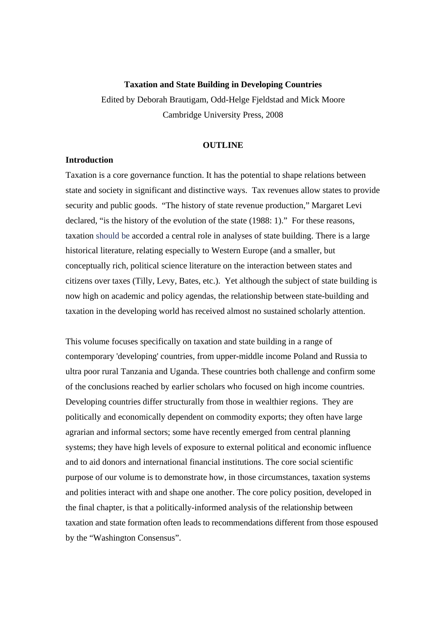#### **Taxation and State Building in Developing Countries**

Edited by Deborah Brautigam, Odd-Helge Fjeldstad and Mick Moore Cambridge University Press, 2008

### **OUTLINE**

# **Introduction**

Taxation is a core governance function. It has the potential to shape relations between state and society in significant and distinctive ways. Tax revenues allow states to provide security and public goods. "The history of state revenue production," Margaret Levi declared, "is the history of the evolution of the state (1988: 1)." For these reasons, taxation should be accorded a central role in analyses of state building. There is a large historical literature, relating especially to Western Europe (and a smaller, but conceptually rich, political science literature on the interaction between states and citizens over taxes (Tilly, Levy, Bates, etc.). Yet although the subject of state building is now high on academic and policy agendas, the relationship between state-building and taxation in the developing world has received almost no sustained scholarly attention.

This volume focuses specifically on taxation and state building in a range of contemporary 'developing' countries, from upper-middle income Poland and Russia to ultra poor rural Tanzania and Uganda. These countries both challenge and confirm some of the conclusions reached by earlier scholars who focused on high income countries. Developing countries differ structurally from those in wealthier regions. They are politically and economically dependent on commodity exports; they often have large agrarian and informal sectors; some have recently emerged from central planning systems; they have high levels of exposure to external political and economic influence and to aid donors and international financial institutions. The core social scientific purpose of our volume is to demonstrate how, in those circumstances, taxation systems and polities interact with and shape one another. The core policy position, developed in the final chapter, is that a politically-informed analysis of the relationship between taxation and state formation often leads to recommendations different from those espoused by the "Washington Consensus".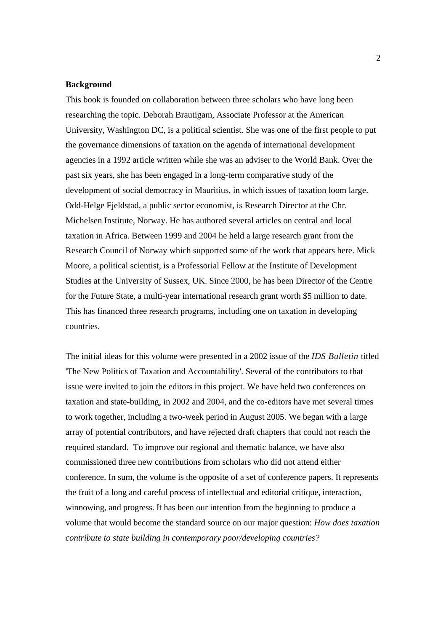#### **Background**

This book is founded on collaboration between three scholars who have long been researching the topic. Deborah Brautigam, Associate Professor at the American University, Washington DC, is a political scientist. She was one of the first people to put the governance dimensions of taxation on the agenda of international development agencies in a 1992 article written while she was an adviser to the World Bank. Over the past six years, she has been engaged in a long-term comparative study of the development of social democracy in Mauritius, in which issues of taxation loom large. Odd-Helge Fjeldstad, a public sector economist, is Research Director at the Chr. Michelsen Institute, Norway. He has authored several articles on central and local taxation in Africa. Between 1999 and 2004 he held a large research grant from the Research Council of Norway which supported some of the work that appears here. Mick Moore, a political scientist, is a Professorial Fellow at the Institute of Development Studies at the University of Sussex, UK. Since 2000, he has been Director of the Centre for the Future State, a multi-year international research grant worth \$5 million to date. This has financed three research programs, including one on taxation in developing countries.

The initial ideas for this volume were presented in a 2002 issue of the *IDS Bulletin* titled 'The New Politics of Taxation and Accountability'. Several of the contributors to that issue were invited to join the editors in this project. We have held two conferences on taxation and state-building, in 2002 and 2004, and the co-editors have met several times to work together, including a two-week period in August 2005. We began with a large array of potential contributors, and have rejected draft chapters that could not reach the required standard. To improve our regional and thematic balance, we have also commissioned three new contributions from scholars who did not attend either conference. In sum, the volume is the opposite of a set of conference papers. It represents the fruit of a long and careful process of intellectual and editorial critique, interaction, winnowing, and progress. It has been our intention from the beginning to produce a volume that would become the standard source on our major question: *How does taxation contribute to state building in contemporary poor/developing countries?*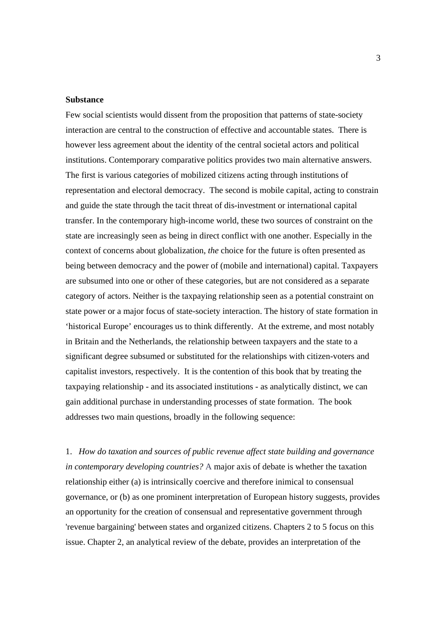### **Substance**

Few social scientists would dissent from the proposition that patterns of state-society interaction are central to the construction of effective and accountable states. There is however less agreement about the identity of the central societal actors and political institutions. Contemporary comparative politics provides two main alternative answers. The first is various categories of mobilized citizens acting through institutions of representation and electoral democracy. The second is mobile capital, acting to constrain and guide the state through the tacit threat of dis-investment or international capital transfer. In the contemporary high-income world, these two sources of constraint on the state are increasingly seen as being in direct conflict with one another. Especially in the context of concerns about globalization, *the* choice for the future is often presented as being between democracy and the power of (mobile and international) capital. Taxpayers are subsumed into one or other of these categories, but are not considered as a separate category of actors. Neither is the taxpaying relationship seen as a potential constraint on state power or a major focus of state-society interaction. The history of state formation in 'historical Europe' encourages us to think differently. At the extreme, and most notably in Britain and the Netherlands, the relationship between taxpayers and the state to a significant degree subsumed or substituted for the relationships with citizen-voters and capitalist investors, respectively. It is the contention of this book that by treating the taxpaying relationship - and its associated institutions - as analytically distinct, we can gain additional purchase in understanding processes of state formation. The book addresses two main questions, broadly in the following sequence:

1. *How do taxation and sources of public revenue affect state building and governance in contemporary developing countries?* A major axis of debate is whether the taxation relationship either (a) is intrinsically coercive and therefore inimical to consensual governance, or (b) as one prominent interpretation of European history suggests, provides an opportunity for the creation of consensual and representative government through 'revenue bargaining' between states and organized citizens. Chapters 2 to 5 focus on this issue. Chapter 2, an analytical review of the debate, provides an interpretation of the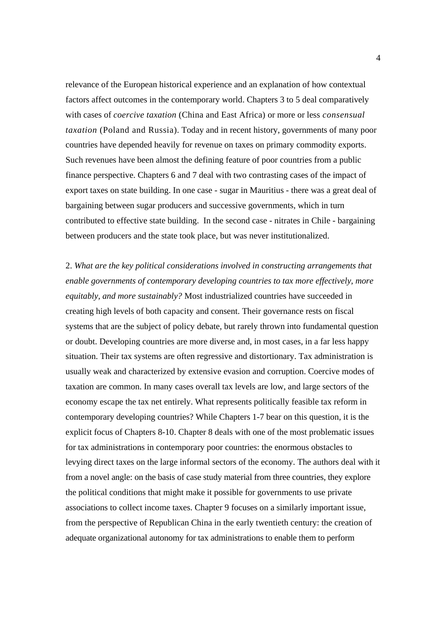relevance of the European historical experience and an explanation of how contextual factors affect outcomes in the contemporary world. Chapters 3 to 5 deal comparatively with cases of *coercive taxation* (China and East Africa) or more or less *consensual taxation* (Poland and Russia)*.* Today and in recent history, governments of many poor countries have depended heavily for revenue on taxes on primary commodity exports. Such revenues have been almost the defining feature of poor countries from a public finance perspective. Chapters 6 and 7 deal with two contrasting cases of the impact of export taxes on state building. In one case - sugar in Mauritius - there was a great deal of bargaining between sugar producers and successive governments, which in turn contributed to effective state building. In the second case - nitrates in Chile - bargaining between producers and the state took place, but was never institutionalized.

2. *What are the key political considerations involved in constructing arrangements that enable governments of contemporary developing countries to tax more effectively, more equitably, and more sustainably?* Most industrialized countries have succeeded in creating high levels of both capacity and consent. Their governance rests on fiscal systems that are the subject of policy debate, but rarely thrown into fundamental question or doubt. Developing countries are more diverse and, in most cases, in a far less happy situation. Their tax systems are often regressive and distortionary. Tax administration is usually weak and characterized by extensive evasion and corruption. Coercive modes of taxation are common. In many cases overall tax levels are low, and large sectors of the economy escape the tax net entirely. What represents politically feasible tax reform in contemporary developing countries? While Chapters 1-7 bear on this question, it is the explicit focus of Chapters 8-10. Chapter 8 deals with one of the most problematic issues for tax administrations in contemporary poor countries: the enormous obstacles to levying direct taxes on the large informal sectors of the economy. The authors deal with it from a novel angle: on the basis of case study material from three countries, they explore the political conditions that might make it possible for governments to use private associations to collect income taxes. Chapter 9 focuses on a similarly important issue, from the perspective of Republican China in the early twentieth century: the creation of adequate organizational autonomy for tax administrations to enable them to perform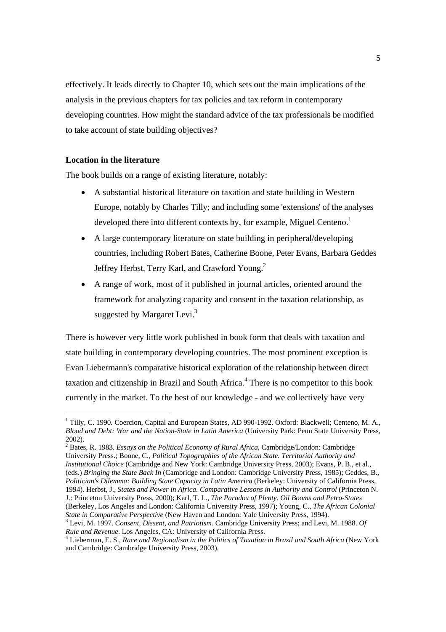effectively. It leads directly to Chapter 10, which sets out the main implications of the analysis in the previous chapters for tax policies and tax reform in contemporary developing countries. How might the standard advice of the tax professionals be modified to take account of state building objectives?

## **Location in the literature**

The book builds on a range of existing literature, notably:

- A substantial historical literature on taxation and state building in Western Europe, notably by Charles Tilly; and including some 'extensions' of the analyses developed there into different contexts by, for example, Miguel Centeno.<sup>1</sup>
- A large contemporary literature on state building in peripheral/developing countries, including Robert Bates, Catherine Boone, Peter Evans, Barbara Geddes Jeffrey Herbst, Terry Karl, and Crawford Young.<sup>2</sup>
- A range of work, most of it published in journal articles, oriented around the framework for analyzing capacity and consent in the taxation relationship, as suggested by Margaret Levi.<sup>3</sup>

There is however very little work published in book form that deals with taxation and state building in contemporary developing countries. The most prominent exception is Evan Liebermann's comparative historical exploration of the relationship between direct taxation and citizenship in Brazil and South Africa.<sup>4</sup> There is no competitor to this book currently in the market. To the best of our knowledge - and we collectively have very

<sup>&</sup>lt;sup>1</sup> Tilly, C. 1990. Coercion, Capital and European States, AD 990-1992. Oxford: Blackwell; Centeno, M. A., *Blood and Debt: War and the Nation-State in Latin America* (University Park: Penn State University Press, 2002).

<sup>2</sup> Bates, R. 1983. *Essays on the Political Economy of Rural Africa*, Cambridge/London: Cambridge University Press.; Boone, C., *Political Topographies of the African State. Territorial Authority and Institutional Choice* (Cambridge and New York: Cambridge University Press, 2003); Evans, P. B., et al., (eds.) *Bringing the State Back In* (Cambridge and London: Cambridge University Press, 1985); Geddes, B., *Politician's Dilemma: Building State Capacity in Latin America* (Berkeley: University of California Press, 1994). Herbst, J., *States and Power in Africa. Comparative Lessons in Authority and Control* (Princeton N. J.: Princeton University Press, 2000); Karl, T. L., *The Paradox of Plenty. Oil Booms and Petro-States* (Berkeley, Los Angeles and London: California University Press, 1997); Young, C., *The African Colonial State in Comparative Perspective* (New Haven and London: Yale University Press, 1994).

Levi, M. 1997. *Consent, Dissent, and Patriotism.* Cambridge University Press; and Levi, M. 1988. *Of Rule and Revenue*. Los Angeles, CA: University of California Press. 4

Lieberman, E. S., *Race and Regionalism in the Politics of Taxation in Brazil and South Africa* (New York and Cambridge: Cambridge University Press, 2003).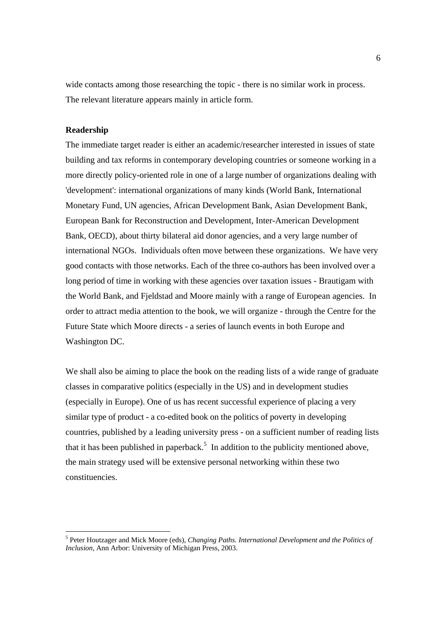wide contacts among those researching the topic - there is no similar work in process. The relevant literature appears mainly in article form.

## **Readership**

The immediate target reader is either an academic/researcher interested in issues of state building and tax reforms in contemporary developing countries or someone working in a more directly policy-oriented role in one of a large number of organizations dealing with 'development': international organizations of many kinds (World Bank, International Monetary Fund, UN agencies, African Development Bank, Asian Development Bank, European Bank for Reconstruction and Development, Inter-American Development Bank, OECD), about thirty bilateral aid donor agencies, and a very large number of international NGOs. Individuals often move between these organizations. We have very good contacts with those networks. Each of the three co-authors has been involved over a long period of time in working with these agencies over taxation issues - Brautigam with the World Bank, and Fjeldstad and Moore mainly with a range of European agencies. In order to attract media attention to the book, we will organize - through the Centre for the Future State which Moore directs - a series of launch events in both Europe and Washington DC.

We shall also be aiming to place the book on the reading lists of a wide range of graduate classes in comparative politics (especially in the US) and in development studies (especially in Europe). One of us has recent successful experience of placing a very similar type of product - a co-edited book on the politics of poverty in developing countries, published by a leading university press - on a sufficient number of reading lists that it has been published in paperback.<sup>5</sup> In addition to the publicity mentioned above, the main strategy used will be extensive personal networking within these two constituencies.

<sup>5</sup> Peter Houtzager and Mick Moore (eds), *Changing Paths. International Development and the Politics of Inclusion*, Ann Arbor: University of Michigan Press, 2003.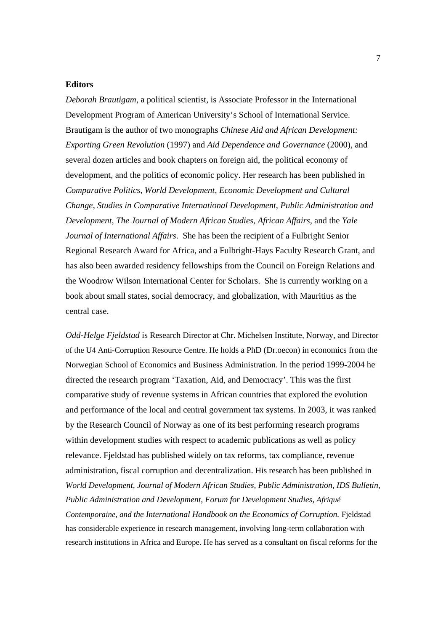### **Editors**

*Deborah Brautigam*, a political scientist*,* is Associate Professor in the International Development Program of American University's School of International Service. Brautigam is the author of two monographs *Chinese Aid and African Development: Exporting Green Revolution* (1997) and *Aid Dependence and Governance* (2000), and several dozen articles and book chapters on foreign aid, the political economy of development, and the politics of economic policy. Her research has been published in *Comparative Politics, World Development, Economic Development and Cultural Change, Studies in Comparative International Development, Public Administration and Development, The Journal of Modern African Studies*, *African Affairs,* and the *Yale Journal of International Affairs*. She has been the recipient of a Fulbright Senior Regional Research Award for Africa, and a Fulbright-Hays Faculty Research Grant, and has also been awarded residency fellowships from the Council on Foreign Relations and the Woodrow Wilson International Center for Scholars. She is currently working on a book about small states, social democracy, and globalization, with Mauritius as the central case.

*Odd-Helge Fjeldstad* is Research Director at Chr. Michelsen Institute, Norway, and Director of the U4 Anti-Corruption Resource Centre. He holds a PhD (Dr.oecon) in economics from the Norwegian School of Economics and Business Administration. In the period 1999-2004 he directed the research program 'Taxation, Aid, and Democracy'. This was the first comparative study of revenue systems in African countries that explored the evolution and performance of the local and central government tax systems. In 2003, it was ranked by the Research Council of Norway as one of its best performing research programs within development studies with respect to academic publications as well as policy relevance. Fjeldstad has published widely on tax reforms, tax compliance, revenue administration, fiscal corruption and decentralization. His research has been published in *World Development, Journal of Modern African Studies, Public Administration, IDS Bulletin, Public Administration and Development, Forum for Development Studies, Afriqué Contemporaine, and the International Handbook on the Economics of Corruption.* Fjeldstad has considerable experience in research management, involving long-term collaboration with research institutions in Africa and Europe. He has served as a consultant on fiscal reforms for the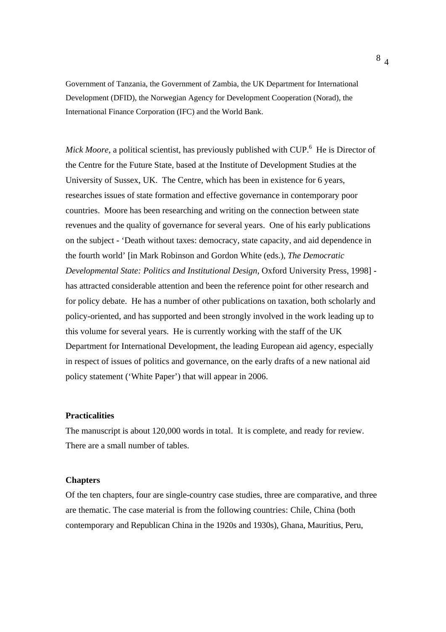Government of Tanzania, the Government of Zambia, the UK Department for International Development (DFID), the Norwegian Agency for Development Cooperation (Norad), the International Finance Corporation (IFC) and the World Bank.

Mick Moore, a political scientist, has previously published with CUP.<sup>6</sup> He is Director of the Centre for the Future State, based at the Institute of Development Studies at the University of Sussex, UK. The Centre, which has been in existence for 6 years, researches issues of state formation and effective governance in contemporary poor countries. Moore has been researching and writing on the connection between state revenues and the quality of governance for several years. One of his early publications on the subject - 'Death without taxes: democracy, state capacity, and aid dependence in the fourth world' [in Mark Robinson and Gordon White (eds.), *The Democratic Developmental State: Politics and Institutional Design*, Oxford University Press, 1998] has attracted considerable attention and been the reference point for other research and for policy debate. He has a number of other publications on taxation, both scholarly and policy-oriented, and has supported and been strongly involved in the work leading up to this volume for several years. He is currently working with the staff of the UK Department for International Development, the leading European aid agency, especially in respect of issues of politics and governance, on the early drafts of a new national aid policy statement ('White Paper') that will appear in 2006.

### **Practicalities**

The manuscript is about 120,000 words in total. It is complete, and ready for review. There are a small number of tables.

### **Chapters**

Of the ten chapters, four are single-country case studies, three are comparative, and three are thematic. The case material is from the following countries: Chile, China (both contemporary and Republican China in the 1920s and 1930s), Ghana, Mauritius, Peru,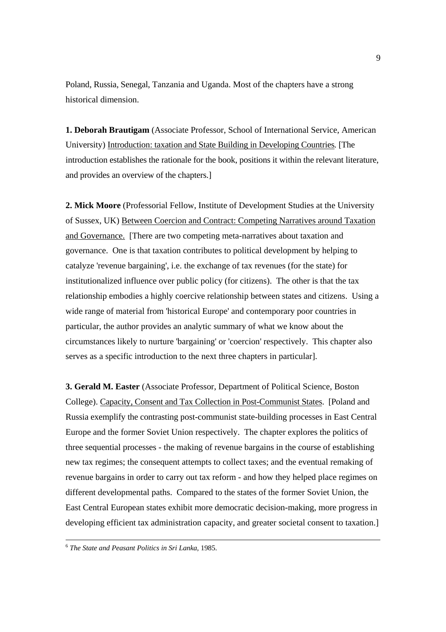Poland, Russia, Senegal, Tanzania and Uganda. Most of the chapters have a strong historical dimension.

**1. Deborah Brautigam** (Associate Professor, School of International Service, American University) Introduction: taxation and State Building in Developing Countries*.* [The introduction establishes the rationale for the book, positions it within the relevant literature, and provides an overview of the chapters.]

**2. Mick Moore** (Professorial Fellow, Institute of Development Studies at the University of Sussex, UK) Between Coercion and Contract: Competing Narratives around Taxation and Governance. [There are two competing meta-narratives about taxation and governance. One is that taxation contributes to political development by helping to catalyze 'revenue bargaining', i.e. the exchange of tax revenues (for the state) for institutionalized influence over public policy (for citizens). The other is that the tax relationship embodies a highly coercive relationship between states and citizens. Using a wide range of material from 'historical Europe' and contemporary poor countries in particular, the author provides an analytic summary of what we know about the circumstances likely to nurture 'bargaining' or 'coercion' respectively. This chapter also serves as a specific introduction to the next three chapters in particular].

**3. Gerald M. Easter** (Associate Professor, Department of Political Science, Boston College). Capacity, Consent and Tax Collection in Post-Communist States. [Poland and Russia exemplify the contrasting post-communist state-building processes in East Central Europe and the former Soviet Union respectively. The chapter explores the politics of three sequential processes - the making of revenue bargains in the course of establishing new tax regimes; the consequent attempts to collect taxes; and the eventual remaking of revenue bargains in order to carry out tax reform - and how they helped place regimes on different developmental paths. Compared to the states of the former Soviet Union, the East Central European states exhibit more democratic decision-making, more progress in developing efficient tax administration capacity, and greater societal consent to taxation.

 <sup>6</sup> *The State and Peasant Politics in Sri Lanka*, 1985.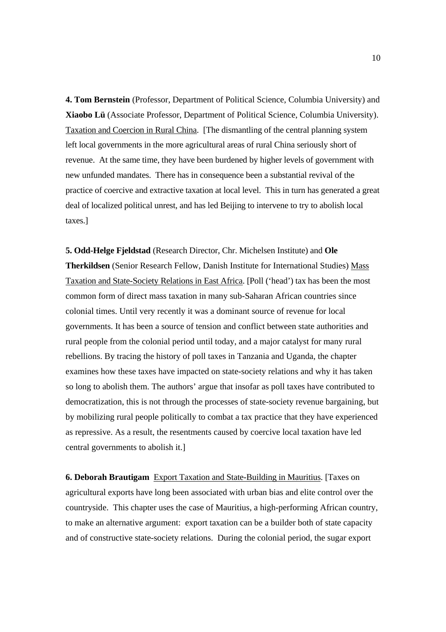**4. Tom Bernstein** (Professor, Department of Political Science, Columbia University) and **Xiaobo Lü** (Associate Professor, Department of Political Science, Columbia University). Taxation and Coercion in Rural China. [The dismantling of the central planning system left local governments in the more agricultural areas of rural China seriously short of revenue. At the same time, they have been burdened by higher levels of government with new unfunded mandates. There has in consequence been a substantial revival of the practice of coercive and extractive taxation at local level. This in turn has generated a great deal of localized political unrest, and has led Beijing to intervene to try to abolish local taxes.]

**5. Odd-Helge Fjeldstad** (Research Director, Chr. Michelsen Institute) and **Ole Therkildsen** (Senior Research Fellow, Danish Institute for International Studies) Mass Taxation and State-Society Relations in East Africa. [Poll ('head') tax has been the most common form of direct mass taxation in many sub-Saharan African countries since colonial times. Until very recently it was a dominant source of revenue for local governments. It has been a source of tension and conflict between state authorities and rural people from the colonial period until today, and a major catalyst for many rural rebellions. By tracing the history of poll taxes in Tanzania and Uganda, the chapter examines how these taxes have impacted on state-society relations and why it has taken so long to abolish them. The authors' argue that insofar as poll taxes have contributed to democratization, this is not through the processes of state-society revenue bargaining, but by mobilizing rural people politically to combat a tax practice that they have experienced as repressive. As a result, the resentments caused by coercive local taxation have led central governments to abolish it.]

**6. Deborah Brautigam** Export Taxation and State-Building in Mauritius. [Taxes on agricultural exports have long been associated with urban bias and elite control over the countryside. This chapter uses the case of Mauritius, a high-performing African country, to make an alternative argument: export taxation can be a builder both of state capacity and of constructive state-society relations. During the colonial period, the sugar export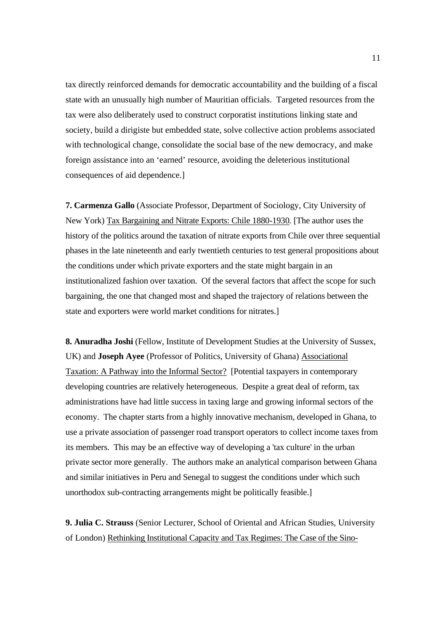tax directly reinforced demands for democratic accountability and the building of a fiscal state with an unusually high number of Mauritian officials. Targeted resources from the tax were also deliberately used to construct corporatist institutions linking state and society, build a dirigiste but embedded state, solve collective action problems associated with technological change, consolidate the social base of the new democracy, and make foreign assistance into an 'earned' resource, avoiding the deleterious institutional consequences of aid dependence.]

**7. Carmenza Gallo** (Associate Professor, Department of Sociology, City University of New York) Tax Bargaining and Nitrate Exports: Chile 1880-1930*.* [The author uses the history of the politics around the taxation of nitrate exports from Chile over three sequential phases in the late nineteenth and early twentieth centuries to test general propositions about the conditions under which private exporters and the state might bargain in an institutionalized fashion over taxation. Of the several factors that affect the scope for such bargaining, the one that changed most and shaped the trajectory of relations between the state and exporters were world market conditions for nitrates.]

**8. Anuradha Joshi** (Fellow, Institute of Development Studies at the University of Sussex, UK) and **Joseph Ayee** (Professor of Politics, University of Ghana) Associational Taxation: A Pathway into the Informal Sector? [Potential taxpayers in contemporary developing countries are relatively heterogeneous. Despite a great deal of reform, tax administrations have had little success in taxing large and growing informal sectors of the economy. The chapter starts from a highly innovative mechanism, developed in Ghana, to use a private association of passenger road transport operators to collect income taxes from its members. This may be an effective way of developing a 'tax culture' in the urban private sector more generally. The authors make an analytical comparison between Ghana and similar initiatives in Peru and Senegal to suggest the conditions under which such unorthodox sub-contracting arrangements might be politically feasible.]

**9. Julia C. Strauss** (Senior Lecturer, School of Oriental and African Studies, University of London) Rethinking Institutional Capacity and Tax Regimes: The Case of the Sino